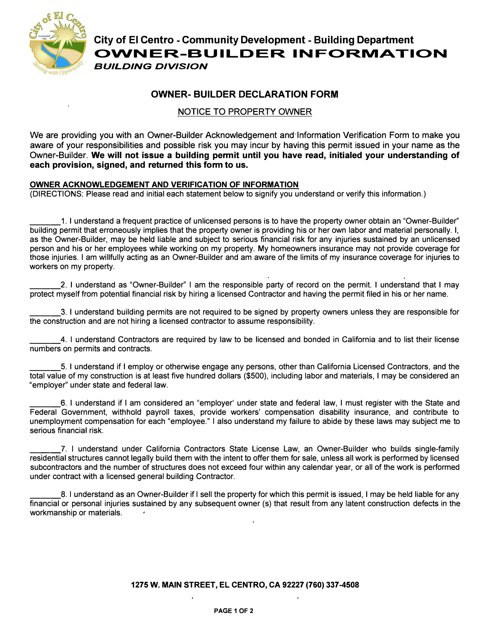

**City of El Centro - Community Development - Building Department OVVNER-BUILDER INFORMATION**  *BUILDING DIVISION* 

## **OWNER- BUILDER DECLARATION FORM**

## NOTICE TO PROPERTY OWNER

We are providing you with an Owner-Builder Acknowledgement and Information Verification Form to make you aware of your responsibilities and possible risk you may incur by having this permit issued in your name as the Owner-Builder. **We will not issue a building permit until you have read, initialed your understanding of each provision, signed, and returned this form to us.** 

## **OWNER ACKNOWLEDGEMENT AND VERIFICATION OF INFORMATION**

(DIRECTIONS: Please read and initial each statement below to signify you understand or verify this information.)

\_\_\_1. I understand a frequent practice of unlicensed persons is to have the property owner obtain an "Owner-Builder" building permit that erroneously implies that the property owner is providing his or her own labor and material personally. I, as the Owner-Builder, may be held liable and subject to serious financial risk for any injuries sustained by an unlicensed person and his or her employees while working on my property. My homeowners insurance may not provide coverage for those injuries. I am willfully acting as an Owner-Builder and am aware of the limits of my insurance coverage for injuries to workers on my property.

\_\_\_ 2. I understand as "Owner-Builder" I am the responsible party of record on the permit. I understand that I may protect myself from potential financial risk by hiring a licensed Contractor and having the permit filed in his or her name.

\_\_\_ 3. I understand building permits are not required to be signed by property owners unless they are responsible for the construction and are not hiring a licensed contractor to assume responsibility.

\_\_\_ 4. I understand Contractors are required by law to be licensed and bonded in California and to list their license numbers on permits and contracts.

\_\_\_5. I understand if I employ or otherwise engage any persons, other than California Licensed Contractors, and the total value of my construction is at least five hundred dollars (\$500), including labor and materials, I may be considered an "employer'' under state and federal law.

\_\_\_6. I understand if I am considered an "employer' under state and federal law, I must register with the State and Federal Government, withhold payroll taxes, provide workers' compensation disability insurance, and contribute to unemployment compensation for each "employee." I also understand my failure to abide by these laws may subject me to serious financial risk.

\_\_\_ 7. I understand under California Contractors State License Law, an Owner-Builder who builds single-family residential structures cannot legally build them with the intent to offer them for sale, unless all work is performed by licensed subcontractors and the number of structures does not exceed four within any calendar year, or all of the work is performed under contract with a licensed general building Contractor.

\_\_\_8. I understand as an Owner-Builder if I sell the property for which this permit is issued, I may be held liable for any financial or personal injuries sustained by any subsequent owner (s) that result from any latent construction defects in the workmanship or materials.

**1275 W. MAIN STREET, EL CENTRO, CA 92227 (760) 337-4508**